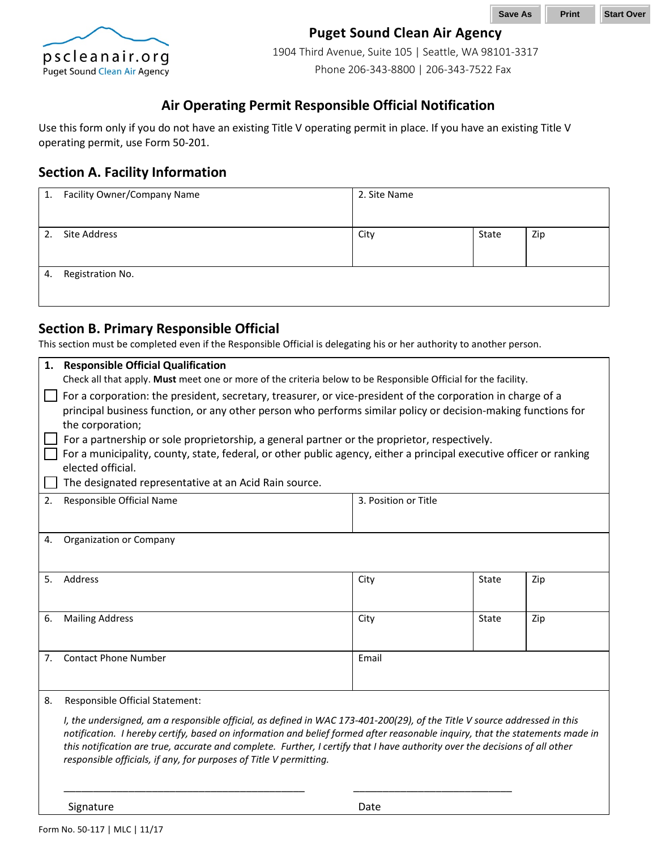

### **Puget Sound Clean Air Agency**

1904 Third Avenue, Suite 105 | Seattle, WA 98101-3317 Phone 206-343-8800 | 206-343-7522 Fax

### **Air Operating Permit Responsible Official Notification**

Use this form only if you do not have an existing Title V operating permit in place. If you have an existing Title V operating permit, use Form 50-201.

#### **Section A. Facility Information**

|    | 1. Facility Owner/Company Name | 2. Site Name |       |     |
|----|--------------------------------|--------------|-------|-----|
|    |                                |              |       |     |
| 2. | Site Address                   | City         | State | Zip |
|    |                                |              |       |     |
|    |                                |              |       |     |
| 4. | Registration No.               |              |       |     |
|    |                                |              |       |     |
|    |                                |              |       |     |

### **Section B. Primary Responsible Official**

This section must be completed even if the Responsible Official is delegating his or her authority to another person.

| 1.             | <b>Responsible Official Qualification</b>                                                                           |                                                                                                             |       |     |
|----------------|---------------------------------------------------------------------------------------------------------------------|-------------------------------------------------------------------------------------------------------------|-------|-----|
|                | Check all that apply. Must meet one or more of the criteria below to be Responsible Official for the facility.      |                                                                                                             |       |     |
|                |                                                                                                                     | For a corporation: the president, secretary, treasurer, or vice-president of the corporation in charge of a |       |     |
|                | principal business function, or any other person who performs similar policy or decision-making functions for       |                                                                                                             |       |     |
|                | the corporation;                                                                                                    |                                                                                                             |       |     |
|                | For a partnership or sole proprietorship, a general partner or the proprietor, respectively.                        |                                                                                                             |       |     |
|                | For a municipality, county, state, federal, or other public agency, either a principal executive officer or ranking |                                                                                                             |       |     |
|                | elected official.                                                                                                   |                                                                                                             |       |     |
|                | The designated representative at an Acid Rain source.                                                               |                                                                                                             |       |     |
| 2.             | Responsible Official Name                                                                                           | 3. Position or Title                                                                                        |       |     |
|                |                                                                                                                     |                                                                                                             |       |     |
|                |                                                                                                                     |                                                                                                             |       |     |
| 4.             | Organization or Company                                                                                             |                                                                                                             |       |     |
|                |                                                                                                                     |                                                                                                             |       |     |
| 5.             | Address                                                                                                             | City                                                                                                        | State | Zip |
|                |                                                                                                                     |                                                                                                             |       |     |
|                |                                                                                                                     |                                                                                                             |       |     |
| 6.             | <b>Mailing Address</b>                                                                                              | City                                                                                                        | State | Zip |
|                |                                                                                                                     |                                                                                                             |       |     |
| 7 <sub>1</sub> | <b>Contact Phone Number</b>                                                                                         | Email                                                                                                       |       |     |
|                |                                                                                                                     |                                                                                                             |       |     |
|                |                                                                                                                     |                                                                                                             |       |     |
| 8.             | Responsible Official Statement:                                                                                     |                                                                                                             |       |     |

*I, the undersigned, am a responsible official, as defined in WAC 173-401-200(29), of the Title V source addressed in this notification. I hereby certify, based on information and belief formed after reasonable inquiry, that the statements made in this notification are true, accurate and complete. Further, I certify that I have authority over the decisions of all other responsible officials, if any, for purposes of Title V permitting.*

\_\_\_\_\_\_\_\_\_\_\_\_\_\_\_\_\_\_\_\_\_\_\_\_\_\_\_\_\_\_\_\_\_\_\_\_\_\_\_\_\_ \_\_\_\_\_\_\_\_\_\_\_\_\_\_\_\_\_\_\_\_\_\_\_\_\_\_\_

Signature Date Date Date